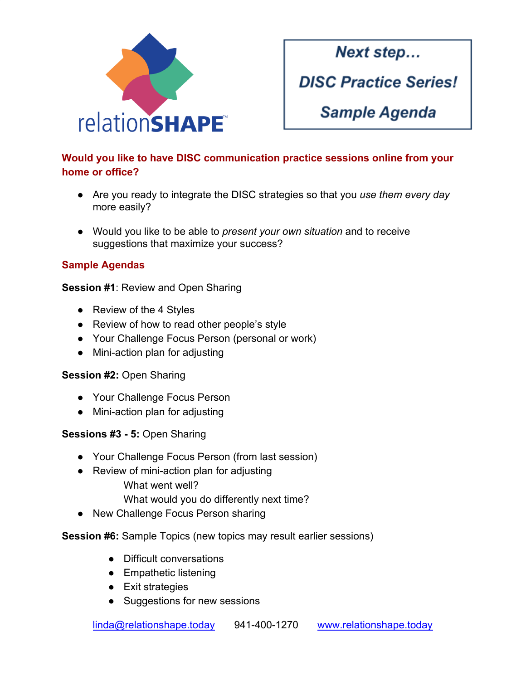

Next step...

**DISC Practice Series!** 

**Sample Agenda** 

# **Would you like to have DISC communication practice sessions online from your home or office?**

- Are you ready to integrate the DISC strategies so that you *use them every day* more easily?
- Would you like to be able to *present your own situation* and to receive suggestions that maximize your success?

## **Sample Agendas**

**Session #1**: Review and Open Sharing

- Review of the 4 Styles
- Review of how to read other people's style
- Your Challenge Focus Person (personal or work)
- Mini-action plan for adjusting

### **Session #2:** Open Sharing

- Your Challenge Focus Person
- Mini-action plan for adjusting

### **Sessions #3 - 5:** Open Sharing

- Your Challenge Focus Person (from last session)
- Review of mini-action plan for adjusting What went well?
	- What would you do differently next time?
- New Challenge Focus Person sharing

### **Session #6:** Sample Topics (new topics may result earlier sessions)

- Difficult conversations
- Empathetic listening
- Exit strategies
- Suggestions for new sessions